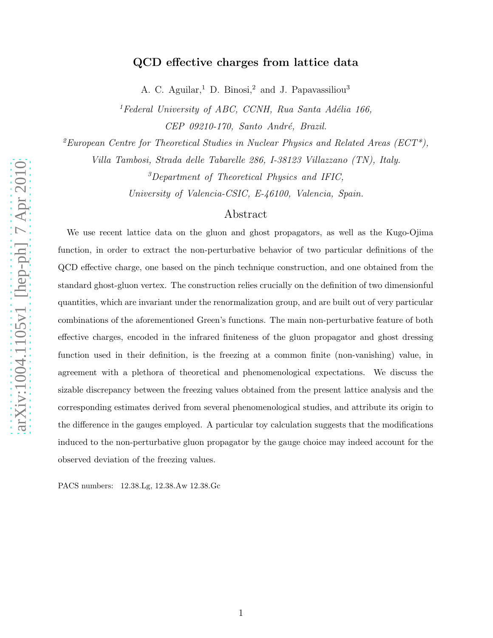# QCD effective charges from lattice data

A. C. Aguilar,<sup>1</sup> D. Binosi,<sup>2</sup> and J. Papavassiliou<sup>3</sup>

<sup>1</sup>Federal University of ABC, CCNH, Rua Santa Adélia 166, CEP 09210-170, Santo André, Brazil.

<sup>2</sup>European Centre for Theoretical Studies in Nuclear Physics and Related Areas (ECT<sup>\*</sup>),

Villa Tambosi, Strada delle Tabarelle 286, I-38123 Villazzano (TN), Italy.

<sup>3</sup>Department of Theoretical Physics and IFIC,

University of Valencia-CSIC, E-46100, Valencia, Spain.

# Abstract

We use recent lattice data on the gluon and ghost propagators, as well as the Kugo-Ojima function, in order to extract the non-perturbative behavior of two particular definitions of the QCD effective charge, one based on the pinch technique construction, and one obtained from the standard ghost-gluon vertex. The construction relies crucially on the definition of two dimensionful quantities, which are invariant under the renormalization group, and are built out of very particular combinations of the aforementioned Green's functions. The main non-perturbative feature of both effective charges, encoded in the infrared finiteness of the gluon propagator and ghost dressing function used in their definition, is the freezing at a common finite (non-vanishing) value, in agreement with a plethora of theoretical and phenomenological expectations. We discuss the sizable discrepancy between the freezing values obtained from the present lattice analysis and the corresponding estimates derived from several phenomenological studies, and attribute its origin to the difference in the gauges employed. A particular toy calculation suggests that the modifications induced to the non-perturbative gluon propagator by the gauge choice may indeed account for the observed deviation of the freezing values.

PACS numbers: 12.38.Lg, 12.38.Aw 12.38.Gc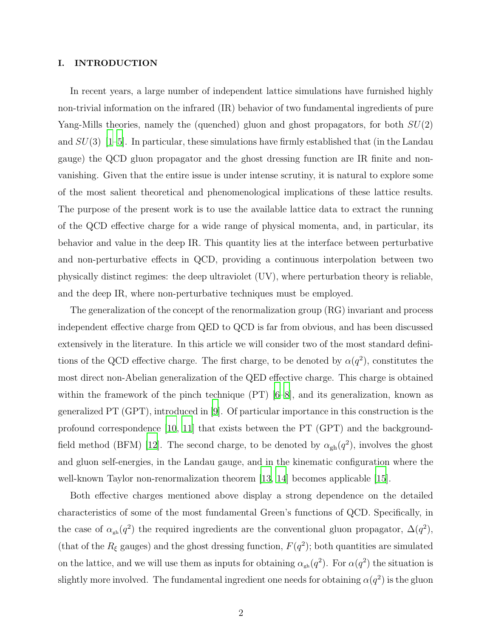### I. INTRODUCTION

In recent years, a large number of independent lattice simulations have furnished highly non-trivial information on the infrared (IR) behavior of two fundamental ingredients of pure Yang-Mills theories, namely the (quenched) gluon and ghost propagators, for both  $SU(2)$ and  $SU(3)$  [\[1](#page-20-0)[–5\]](#page-20-1). In particular, these simulations have firmly established that (in the Landau gauge) the QCD gluon propagator and the ghost dressing function are IR finite and nonvanishing. Given that the entire issue is under intense scrutiny, it is natural to explore some of the most salient theoretical and phenomenological implications of these lattice results. The purpose of the present work is to use the available lattice data to extract the running of the QCD effective charge for a wide range of physical momenta, and, in particular, its behavior and value in the deep IR. This quantity lies at the interface between perturbative and non-perturbative effects in QCD, providing a continuous interpolation between two physically distinct regimes: the deep ultraviolet (UV), where perturbation theory is reliable, and the deep IR, where non-perturbative techniques must be employed.

The generalization of the concept of the renormalization group (RG) invariant and process independent effective charge from QED to QCD is far from obvious, and has been discussed extensively in the literature. In this article we will consider two of the most standard definitions of the QCD effective charge. The first charge, to be denoted by  $\alpha(q^2)$ , constitutes the most direct non-Abelian generalization of the QED effective charge. This charge is obtained within the framework of the pinch technique (PT)  $[6-8]$ , and its generalization, known as generalized PT (GPT), introduced in [\[9\]](#page-20-4). Of particular importance in this construction is the profound correspondence [\[10](#page-20-5), [11\]](#page-20-6) that exists between the PT (GPT) and the background-field method (BFM) [\[12](#page-20-7)]. The second charge, to be denoted by  $\alpha_{gh}(q^2)$ , involves the ghost and gluon self-energies, in the Landau gauge, and in the kinematic configuration where the well-known Taylor non-renormalization theorem [\[13,](#page-20-8) [14\]](#page-20-9) becomes applicable [\[15\]](#page-20-10).

Both effective charges mentioned above display a strong dependence on the detailed characteristics of some of the most fundamental Green's functions of QCD. Specifically, in the case of  $\alpha_{gh}(q^2)$  the required ingredients are the conventional gluon propagator,  $\Delta(q^2)$ , (that of the  $R_{\xi}$  gauges) and the ghost dressing function,  $F(q^2)$ ; both quantities are simulated on the lattice, and we will use them as inputs for obtaining  $\alpha_{gh}(q^2)$ . For  $\alpha(q^2)$  the situation is slightly more involved. The fundamental ingredient one needs for obtaining  $\alpha(q^2)$  is the gluon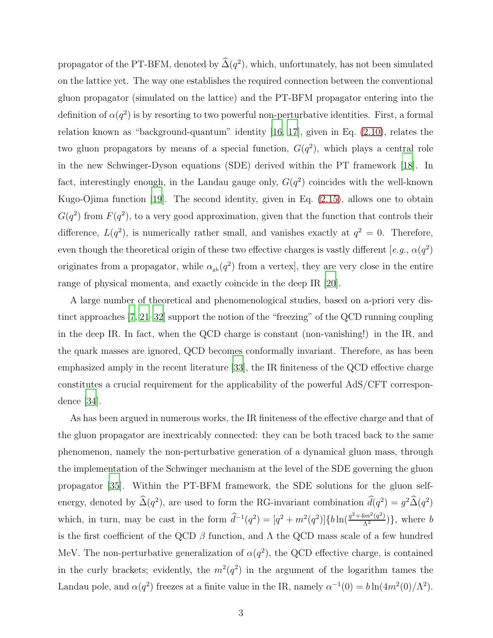propagator of the PT-BFM, denoted by  $\hat{\Delta}(q^2)$ , which, unfortunately, has not been simulated on the lattice yet. The way one establishes the required connection between the conventional gluon propagator (simulated on the lattice) and the PT-BFM propagator entering into the definition of  $\alpha(q^2)$  is by resorting to two powerful non-perturbative identities. First, a formal relation known as "background-quantum" identity [\[16,](#page-20-11) [17\]](#page-20-12), given in Eq. [\(2.10\)](#page-5-0), relates the two gluon propagators by means of a special function,  $G(q^2)$ , which plays a central role in the new Schwinger-Dyson equations (SDE) derived within the PT framework [\[18\]](#page-20-13). In fact, interestingly enough, in the Landau gauge only,  $G(q^2)$  coincides with the well-known Kugo-Ojima function [\[19](#page-21-0)]. The second identity, given in Eq. [\(2.15\)](#page-6-0), allows one to obtain  $G(q^2)$  from  $F(q^2)$ , to a very good approximation, given that the function that controls their difference,  $L(q^2)$ , is numerically rather small, and vanishes exactly at  $q^2 = 0$ . Therefore, even though the theoretical origin of these two effective charges is vastly different [e.g.,  $\alpha(q^2)$ ] originates from a propagator, while  $\alpha_{gh}(q^2)$  from a vertex, they are very close in the entire range of physical momenta, and exactly coincide in the deep IR [\[20](#page-21-1)].

A large number of theoretical and phenomenological studies, based on a-priori very distinct approaches [\[7](#page-20-14), [21](#page-21-2)[–32\]](#page-21-3) support the notion of the "freezing" of the QCD running coupling in the deep IR. In fact, when the QCD charge is constant (non-vanishing!) in the IR, and the quark masses are ignored, QCD becomes conformally invariant. Therefore, as has been emphasized amply in the recent literature [\[33\]](#page-21-4), the IR finiteness of the QCD effective charge constitutes a crucial requirement for the applicability of the powerful AdS/CFT correspondence [\[34\]](#page-21-5).

As has been argued in numerous works, the IR finiteness of the effective charge and that of the gluon propagator are inextricably connected: they can be both traced back to the same phenomenon, namely the non-perturbative generation of a dynamical gluon mass, through the implementation of the Schwinger mechanism at the level of the SDE governing the gluon propagator [\[35](#page-21-6)]. Within the PT-BFM framework, the SDE solutions for the gluon selfenergy, denoted by  $\hat{\Delta}(q^2)$ , are used to form the RG-invariant combination  $d(q^2) = g^2 \hat{\Delta}(q^2)$ which, in turn, may be cast in the form  $\hat{d}^{-1}(q^2) = [q^2 + m^2(q^2)]\{b\ln(\frac{q^2+4m^2(q^2)}{\Lambda^2})\}$ , where b is the first coefficient of the QCD  $\beta$  function, and  $\Lambda$  the QCD mass scale of a few hundred MeV. The non-perturbative generalization of  $\alpha(q^2)$ , the QCD effective charge, is contained in the curly brackets; evidently, the  $m^2(q^2)$  in the argument of the logarithm tames the Landau pole, and  $\alpha(q^2)$  freezes at a finite value in the IR, namely  $\alpha^{-1}(0) = b \ln(4m^2(0)/\Lambda^2)$ .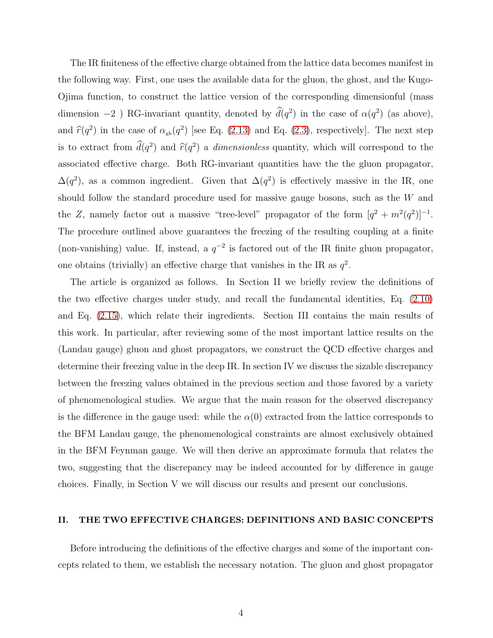The IR finiteness of the effective charge obtained from the lattice data becomes manifest in the following way. First, one uses the available data for the gluon, the ghost, and the Kugo-Ojima function, to construct the lattice version of the corresponding dimensionful (mass dimension -2 ) RG-invariant quantity, denoted by  $d(q^2)$  in the case of  $\alpha(q^2)$  (as above), and  $\hat{r}(q^2)$  in the case of  $\alpha_{gh}(q^2)$  [see Eq. [\(2.13\)](#page-6-1) and Eq. [\(2.3\)](#page-4-0), respectively]. The next step is to extract from  $d(q^2)$  and  $\hat{r}(q^2)$  a *dimensionless* quantity, which will correspond to the associated effective charge. Both RG-invariant quantities have the the gluon propagator,  $\Delta(q^2)$ , as a common ingredient. Given that  $\Delta(q^2)$  is effectively massive in the IR, one should follow the standard procedure used for massive gauge bosons, such as the W and the Z, namely factor out a massive "tree-level" propagator of the form  $[q^2 + m^2(q^2)]^{-1}$ . The procedure outlined above guarantees the freezing of the resulting coupling at a finite (non-vanishing) value. If, instead, a  $q^{-2}$  is factored out of the IR finite gluon propagator, one obtains (trivially) an effective charge that vanishes in the IR as  $q^2$ .

The article is organized as follows. In Section II we briefly review the definitions of the two effective charges under study, and recall the fundamental identities, Eq. [\(2.10\)](#page-5-0) and Eq. [\(2.15\)](#page-6-0), which relate their ingredients. Section III contains the main results of this work. In particular, after reviewing some of the most important lattice results on the (Landau gauge) gluon and ghost propagators, we construct the QCD effective charges and determine their freezing value in the deep IR. In section IV we discuss the sizable discrepancy between the freezing values obtained in the previous section and those favored by a variety of phenomenological studies. We argue that the main reason for the observed discrepancy is the difference in the gauge used: while the  $\alpha(0)$  extracted from the lattice corresponds to the BFM Landau gauge, the phenomenological constraints are almost exclusively obtained in the BFM Feynman gauge. We will then derive an approximate formula that relates the two, suggesting that the discrepancy may be indeed accounted for by difference in gauge choices. Finally, in Section V we will discuss our results and present our conclusions.

## II. THE TWO EFFECTIVE CHARGES: DEFINITIONS AND BASIC CONCEPTS

Before introducing the definitions of the effective charges and some of the important concepts related to them, we establish the necessary notation. The gluon and ghost propagator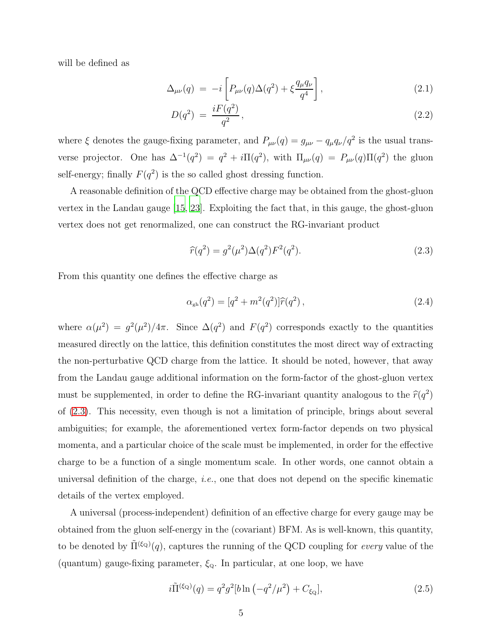will be defined as

$$
\Delta_{\mu\nu}(q) = -i \left[ P_{\mu\nu}(q) \Delta(q^2) + \xi \frac{q_{\mu}q_{\nu}}{q^4} \right], \qquad (2.1)
$$

$$
D(q^2) = \frac{iF(q^2)}{q^2},\tag{2.2}
$$

where  $\xi$  denotes the gauge-fixing parameter, and  $P_{\mu\nu}(q) = g_{\mu\nu} - q_{\mu}q_{\nu}/q^2$  is the usual transverse projector. One has  $\Delta^{-1}(q^2) = q^2 + i\Pi(q^2)$ , with  $\Pi_{\mu\nu}(q) = P_{\mu\nu}(q)\Pi(q^2)$  the gluon self-energy; finally  $F(q^2)$  is the so called ghost dressing function.

A reasonable definition of the QCD effective charge may be obtained from the ghost-gluon vertex in the Landau gauge [\[15,](#page-20-10) [23](#page-21-7)]. Exploiting the fact that, in this gauge, the ghost-gluon vertex does not get renormalized, one can construct the RG-invariant product

<span id="page-4-0"></span>
$$
\widehat{r}(q^2) = g^2(\mu^2)\Delta(q^2)F^2(q^2). \tag{2.3}
$$

From this quantity one defines the effective charge as

<span id="page-4-1"></span>
$$
\alpha_{\rm gh}(q^2) = [q^2 + m^2(q^2)]\hat{r}(q^2), \qquad (2.4)
$$

where  $\alpha(\mu^2) = g^2(\mu^2)/4\pi$ . Since  $\Delta(q^2)$  and  $F(q^2)$  corresponds exactly to the quantities measured directly on the lattice, this definition constitutes the most direct way of extracting the non-perturbative QCD charge from the lattice. It should be noted, however, that away from the Landau gauge additional information on the form-factor of the ghost-gluon vertex must be supplemented, in order to define the RG-invariant quantity analogous to the  $\hat{r}(q^2)$ of [\(2.3\)](#page-4-0). This necessity, even though is not a limitation of principle, brings about several ambiguities; for example, the aforementioned vertex form-factor depends on two physical momenta, and a particular choice of the scale must be implemented, in order for the effective charge to be a function of a single momentum scale. In other words, one cannot obtain a universal definition of the charge, *i.e.*, one that does not depend on the specific kinematic details of the vertex employed.

A universal (process-independent) definition of an effective charge for every gauge may be obtained from the gluon self-energy in the (covariant) BFM. As is well-known, this quantity, to be denoted by  $\tilde{\Pi}^{(\xi_{\mathbf{Q}})}(q)$ , captures the running of the QCD coupling for *every* value of the (quantum) gauge-fixing parameter,  $\xi_{Q}$ . In particular, at one loop, we have

$$
i\tilde{\Pi}^{(\xi_{\mathbf{Q}})}(q) = q^2 g^2 [b \ln(-q^2/\mu^2) + C_{\xi_{\mathbf{Q}}}], \qquad (2.5)
$$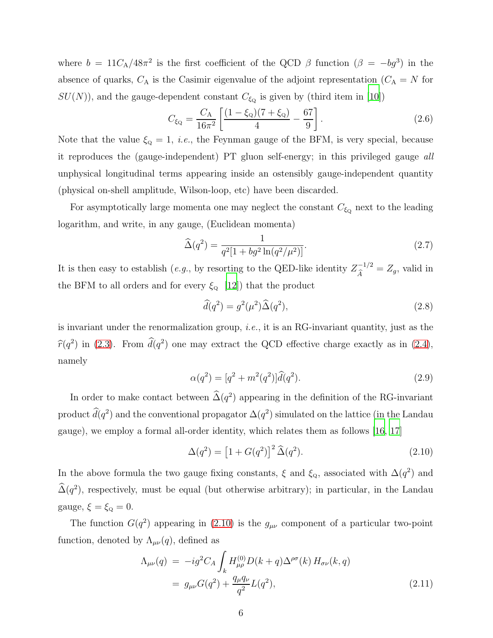where  $b = 11C_A/48\pi^2$  is the first coefficient of the QCD  $\beta$  function  $(\beta = -bg^3)$  in the absence of quarks,  $C_A$  is the Casimir eigenvalue of the adjoint representation ( $C_A = N$  for  $SU(N)$ , and the gauge-dependent constant  $C_{\xi_{\mathbf{Q}}}$  is given by (third item in [\[10\]](#page-20-5))

<span id="page-5-4"></span>
$$
C_{\xi_{\mathbf{Q}}} = \frac{C_{\mathbf{A}}}{16\pi^2} \left[ \frac{(1 - \xi_{\mathbf{Q}})(7 + \xi_{\mathbf{Q}})}{4} - \frac{67}{9} \right].
$$
 (2.6)

Note that the value  $\xi_{\text{Q}} = 1$ , *i.e.*, the Feynman gauge of the BFM, is very special, because it reproduces the (gauge-independent) PT gluon self-energy; in this privileged gauge all unphysical longitudinal terms appearing inside an ostensibly gauge-independent quantity (physical on-shell amplitude, Wilson-loop, etc) have been discarded.

For asymptotically large momenta one may neglect the constant  $C_{\xi_Q}$  next to the leading logarithm, and write, in any gauge, (Euclidean momenta)

$$
\widehat{\Delta}(q^2) = \frac{1}{q^2[1 + bg^2 \ln(q^2/\mu^2)]}.
$$
\n(2.7)

It is then easy to establish (*e.g.*, by resorting to the QED-like identity  $Z_{\hat{A}}^{-1/2} = Z_g$ , valid in the BFM to all orders and for every  $\xi_{\text{Q}}$  [\[12\]](#page-20-7)) that the product

<span id="page-5-1"></span>
$$
\widehat{d}(q^2) = g^2(\mu^2)\widehat{\Delta}(q^2),\tag{2.8}
$$

is invariant under the renormalization group, i.e., it is an RG-invariant quantity, just as the  $\widehat{r}(q^2)$  in [\(2.3\)](#page-4-0). From  $\widehat{d}(q^2)$  one may extract the QCD effective charge exactly as in [\(2.4\)](#page-4-1), namely

<span id="page-5-3"></span>
$$
\alpha(q^2) = [q^2 + m^2(q^2)]\hat{d}(q^2).
$$
\n(2.9)

In order to make contact between  $\widehat{\Delta}(q^2)$  appearing in the definition of the RG-invariant product  $d(q^2)$  and the conventional propagator  $\Delta(q^2)$  simulated on the lattice (in the Landau gauge), we employ a formal all-order identity, which relates them as follows [\[16,](#page-20-11) [17\]](#page-20-12)

<span id="page-5-0"></span>
$$
\Delta(q^2) = [1 + G(q^2)]^2 \widehat{\Delta}(q^2).
$$
 (2.10)

In the above formula the two gauge fixing constants,  $\xi$  and  $\xi_{\rm Q}$ , associated with  $\Delta(q^2)$  and  $\widehat{\Delta}(q^2)$ , respectively, must be equal (but otherwise arbitrary); in particular, in the Landau gauge,  $\xi = \xi_{\text{Q}} = 0$ .

The function  $G(q^2)$  appearing in [\(2.10\)](#page-5-0) is the  $g_{\mu\nu}$  component of a particular two-point function, denoted by  $\Lambda_{\mu\nu}(q)$ , defined as

<span id="page-5-2"></span>
$$
\Lambda_{\mu\nu}(q) = -ig^2 C_A \int_k H_{\mu\rho}^{(0)} D(k+q) \Delta^{\rho\sigma}(k) H_{\sigma\nu}(k,q) \n= g_{\mu\nu} G(q^2) + \frac{q_\mu q_\nu}{q^2} L(q^2),
$$
\n(2.11)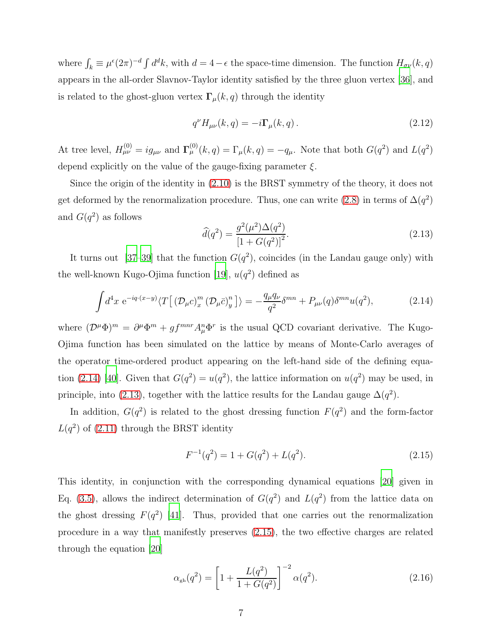where  $\int_k \equiv \mu^{\epsilon} (2\pi)^{-d} \int d^d k$ , with  $d = 4 - \epsilon$  the space-time dimension. The function  $H_{\sigma\nu}(k, q)$ appears in the all-order Slavnov-Taylor identity satisfied by the three gluon vertex [\[36](#page-21-8)], and is related to the ghost-gluon vertex  $\Gamma_{\mu}(k,q)$  through the identity

<span id="page-6-4"></span>
$$
q^{\nu}H_{\mu\nu}(k,q) = -i\Gamma_{\mu}(k,q). \qquad (2.12)
$$

At tree level,  $H_{\mu\nu}^{(0)} = ig_{\mu\nu}$  and  $\Gamma_{\mu}^{(0)}(k,q) = \Gamma_{\mu}(k,q) = -q_{\mu}$ . Note that both  $G(q^2)$  and  $L(q^2)$ depend explicitly on the value of the gauge-fixing parameter  $\xi$ .

Since the origin of the identity in [\(2.10\)](#page-5-0) is the BRST symmetry of the theory, it does not get deformed by the renormalization procedure. Thus, one can write [\(2.8\)](#page-5-1) in terms of  $\Delta(q^2)$ and  $G(q^2)$  as follows

<span id="page-6-1"></span>
$$
\widehat{d}(q^2) = \frac{g^2(\mu^2)\Delta(q^2)}{\left[1 + G(q^2)\right]^2}.
$$
\n(2.13)

It turns out [\[37](#page-21-9)[–39\]](#page-21-10) that the function  $G(q^2)$ , coincides (in the Landau gauge only) with the well-known Kugo-Ojima function [\[19](#page-21-0)],  $u(q^2)$  defined as

<span id="page-6-2"></span>
$$
\int d^4x \ e^{-iq \cdot (x-y)} \langle T\big[ \left(\mathcal{D}_\mu c\right)^m_x \left(\mathcal{D}_\mu \bar{c}\right)^n_y \big] \rangle = -\frac{q_\mu q_\nu}{q^2} \delta^{mn} + P_{\mu\nu}(q) \delta^{mn} u(q^2), \tag{2.14}
$$

where  $(\mathcal{D}^{\mu}\Phi)^{m} = \partial^{\mu}\Phi^{m} + gf^{mnr}A_{\mu}^{n}\Phi^{r}$  is the usual QCD covariant derivative. The Kugo-Ojima function has been simulated on the lattice by means of Monte-Carlo averages of the operator time-ordered product appearing on the left-hand side of the defining equa-tion [\(2.14\)](#page-6-2) [\[40\]](#page-21-11). Given that  $G(q^2) = u(q^2)$ , the lattice information on  $u(q^2)$  may be used, in principle, into [\(2.13\)](#page-6-1), together with the lattice results for the Landau gauge  $\Delta(q^2)$ .

In addition,  $G(q^2)$  is related to the ghost dressing function  $F(q^2)$  and the form-factor  $L(q^2)$  of  $(2.11)$  through the BRST identity

<span id="page-6-0"></span>
$$
F^{-1}(q^2) = 1 + G(q^2) + L(q^2). \tag{2.15}
$$

This identity, in conjunction with the corresponding dynamical equations [\[20\]](#page-21-1) given in Eq. [\(3.5\)](#page-10-0), allows the indirect determination of  $G(q^2)$  and  $L(q^2)$  from the lattice data on the ghost dressing  $F(q^2)$  [\[41\]](#page-21-12). Thus, provided that one carries out the renormalization procedure in a way that manifestly preserves [\(2.15\)](#page-6-0), the two effective charges are related through the equation [\[20](#page-21-1)]

<span id="page-6-3"></span>
$$
\alpha_{\rm gh}(q^2) = \left[1 + \frac{L(q^2)}{1 + G(q^2)}\right]^{-2} \alpha(q^2). \tag{2.16}
$$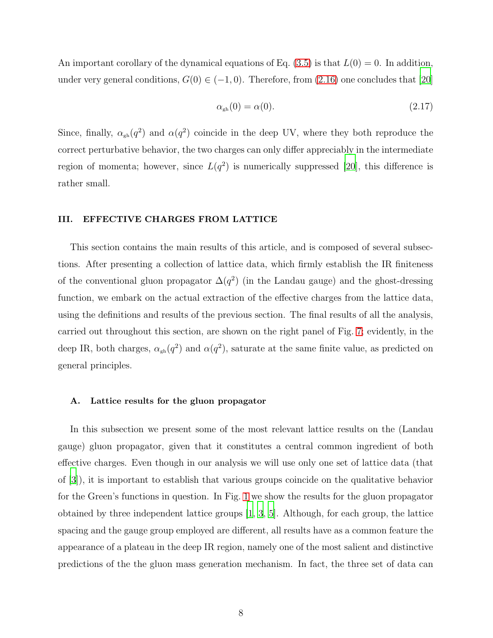An important corollary of the dynamical equations of Eq.  $(3.5)$  is that  $L(0) = 0$ . In addition, under very general conditions,  $G(0) \in (-1,0)$ . Therefore, from  $(2.16)$  one concludes that [\[20\]](#page-21-1)

$$
\alpha_{\rm gh}(0) = \alpha(0). \tag{2.17}
$$

Since, finally,  $\alpha_{gh}(q^2)$  and  $\alpha(q^2)$  coincide in the deep UV, where they both reproduce the correct perturbative behavior, the two charges can only differ appreciably in the intermediate region of momenta; however, since  $L(q^2)$  is numerically suppressed [\[20](#page-21-1)], this difference is rather small.

## III. EFFECTIVE CHARGES FROM LATTICE

This section contains the main results of this article, and is composed of several subsections. After presenting a collection of lattice data, which firmly establish the IR finiteness of the conventional gluon propagator  $\Delta(q^2)$  (in the Landau gauge) and the ghost-dressing function, we embark on the actual extraction of the effective charges from the lattice data, using the definitions and results of the previous section. The final results of all the analysis, carried out throughout this section, are shown on the right panel of Fig. [7;](#page-15-0) evidently, in the deep IR, both charges,  $\alpha_{gh}(q^2)$  and  $\alpha(q^2)$ , saturate at the same finite value, as predicted on general principles.

#### A. Lattice results for the gluon propagator

In this subsection we present some of the most relevant lattice results on the (Landau gauge) gluon propagator, given that it constitutes a central common ingredient of both effective charges. Even though in our analysis we will use only one set of lattice data (that of [\[3\]](#page-20-15)), it is important to establish that various groups coincide on the qualitative behavior for the Green's functions in question. In Fig. [1](#page-8-0) we show the results for the gluon propagator obtained by three independent lattice groups [\[1](#page-20-0), [3](#page-20-15), [5\]](#page-20-1). Although, for each group, the lattice spacing and the gauge group employed are different, all results have as a common feature the appearance of a plateau in the deep IR region, namely one of the most salient and distinctive predictions of the the gluon mass generation mechanism. In fact, the three set of data can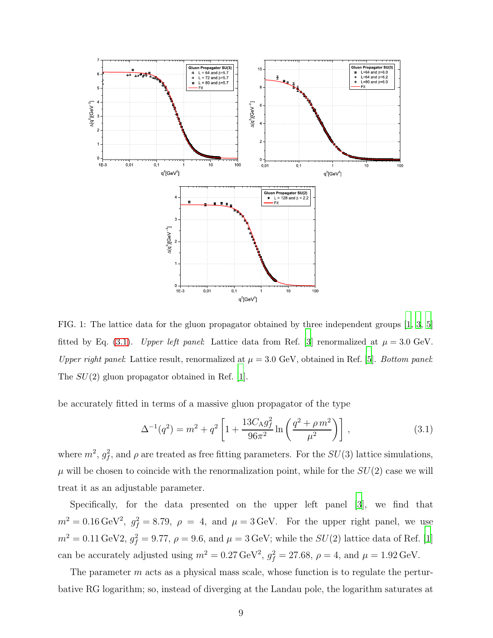

<span id="page-8-0"></span>FIG. 1: The lattice data for the gluon propagator obtained by three independent groups [\[1](#page-20-0), [3,](#page-20-15) [5](#page-20-1)] fitted by Eq. [\(3.1\)](#page-8-1). Upper left panel: Lattice data from Ref. [\[3](#page-20-15)] renormalized at  $\mu = 3.0 \text{ GeV}$ . Upper right panel: Lattice result, renormalized at  $\mu = 3.0 \text{ GeV}$ , obtained in Ref. [\[5\]](#page-20-1). Bottom panel: The  $SU(2)$  gluon propagator obtained in Ref. [\[1](#page-20-0)].

be accurately fitted in terms of a massive gluon propagator of the type

<span id="page-8-1"></span>
$$
\Delta^{-1}(q^2) = m^2 + q^2 \left[ 1 + \frac{13C_A g_f^2}{96\pi^2} \ln\left(\frac{q^2 + \rho m^2}{\mu^2}\right) \right],
$$
\n(3.1)

where  $m^2$ ,  $g_f^2$ , and  $\rho$  are treated as free fitting parameters. For the  $SU(3)$  lattice simulations,  $\mu$  will be chosen to coincide with the renormalization point, while for the  $SU(2)$  case we will treat it as an adjustable parameter.

Specifically, for the data presented on the upper left panel [\[3\]](#page-20-15), we find that  $m^2 = 0.16 \,\text{GeV}^2$ ,  $g_f^2 = 8.79$ ,  $\rho = 4$ , and  $\mu = 3 \,\text{GeV}$ . For the upper right panel, we use  $m^2 = 0.11 \,\text{GeV}2, g_f^2 = 9.77, \rho = 9.6, \text{ and } \mu = 3 \,\text{GeV}$ ; while the  $SU(2)$  lattice data of Ref. [\[1\]](#page-20-0) can be accurately adjusted using  $m^2 = 0.27 \,\text{GeV}^2$ ,  $g_f^2 = 27.68$ ,  $\rho = 4$ , and  $\mu = 1.92 \,\text{GeV}$ .

The parameter  $m$  acts as a physical mass scale, whose function is to regulate the perturbative RG logarithm; so, instead of diverging at the Landau pole, the logarithm saturates at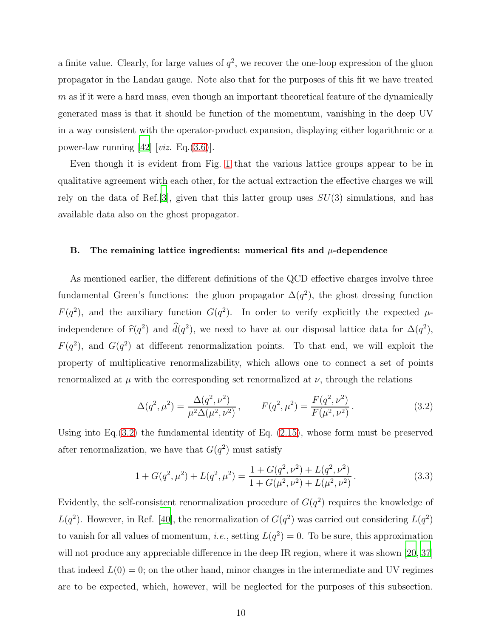a finite value. Clearly, for large values of  $q^2$ , we recover the one-loop expression of the gluon propagator in the Landau gauge. Note also that for the purposes of this fit we have treated  $m$  as if it were a hard mass, even though an important theoretical feature of the dynamically generated mass is that it should be function of the momentum, vanishing in the deep UV in a way consistent with the operator-product expansion, displaying either logarithmic or a power-law running  $[42]$  [viz. Eq.[\(3.6\)](#page-14-0)].

Even though it is evident from Fig. [1](#page-8-0) that the various lattice groups appear to be in qualitative agreement with each other, for the actual extraction the effective charges we will rely on the data of Ref. [\[3\]](#page-20-15), given that this latter group uses  $SU(3)$  simulations, and has available data also on the ghost propagator.

#### B. The remaining lattice ingredients: numerical fits and  $\mu$ -dependence

As mentioned earlier, the different definitions of the QCD effective charges involve three fundamental Green's functions: the gluon propagator  $\Delta(q^2)$ , the ghost dressing function  $F(q^2)$ , and the auxiliary function  $G(q^2)$ . In order to verify explicitly the expected  $\mu$ independence of  $\hat{r}(q^2)$  and  $\hat{d}(q^2)$ , we need to have at our disposal lattice data for  $\Delta(q^2)$ ,  $F(q^2)$ , and  $G(q^2)$  at different renormalization points. To that end, we will exploit the property of multiplicative renormalizability, which allows one to connect a set of points renormalized at  $\mu$  with the corresponding set renormalized at  $\nu$ , through the relations

<span id="page-9-0"></span>
$$
\Delta(q^2, \mu^2) = \frac{\Delta(q^2, \nu^2)}{\mu^2 \Delta(\mu^2, \nu^2)}, \qquad F(q^2, \mu^2) = \frac{F(q^2, \nu^2)}{F(\mu^2, \nu^2)}.
$$
\n(3.2)

Using into Eq.[\(3.2\)](#page-9-0) the fundamental identity of Eq. [\(2.15\)](#page-6-0), whose form must be preserved after renormalization, we have that  $G(q^2)$  must satisfy

<span id="page-9-1"></span>
$$
1 + G(q^2, \mu^2) + L(q^2, \mu^2) = \frac{1 + G(q^2, \nu^2) + L(q^2, \nu^2)}{1 + G(\mu^2, \nu^2) + L(\mu^2, \nu^2)}.
$$
\n(3.3)

Evidently, the self-consistent renormalization procedure of  $G(q^2)$  requires the knowledge of  $L(q^2)$ . However, in Ref. [\[40\]](#page-21-11), the renormalization of  $G(q^2)$  was carried out considering  $L(q^2)$ to vanish for all values of momentum, *i.e.*, setting  $L(q^2) = 0$ . To be sure, this approximation will not produce any appreciable difference in the deep IR region, where it was shown [\[20](#page-21-1), [37\]](#page-21-9) that indeed  $L(0) = 0$ ; on the other hand, minor changes in the intermediate and UV regimes are to be expected, which, however, will be neglected for the purposes of this subsection.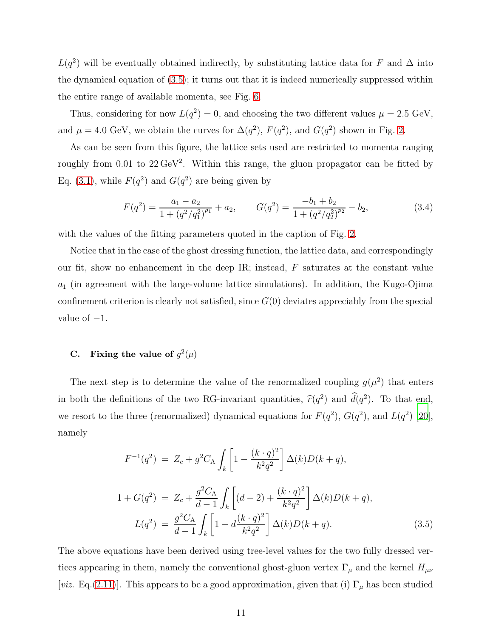$L(q^2)$  will be eventually obtained indirectly, by substituting lattice data for F and  $\Delta$  into the dynamical equation of [\(3.5\)](#page-10-0); it turns out that it is indeed numerically suppressed within the entire range of available momenta, see Fig. [6.](#page-14-1)

Thus, considering for now  $L(q^2) = 0$ , and choosing the two different values  $\mu = 2.5 \text{ GeV}$ , and  $\mu = 4.0 \text{ GeV}$ , we obtain the curves for  $\Delta(q^2)$ ,  $F(q^2)$ , and  $G(q^2)$  shown in Fig. [2.](#page-11-0)

As can be seen from this figure, the lattice sets used are restricted to momenta ranging roughly from  $0.01$  to  $22 \,\text{GeV}^2$ . Within this range, the gluon propagator can be fitted by Eq. [\(3.1\)](#page-8-1), while  $F(q^2)$  and  $G(q^2)$  are being given by

<span id="page-10-1"></span>
$$
F(q^2) = \frac{a_1 - a_2}{1 + (q^2/q_1^2)^{p_1}} + a_2, \qquad G(q^2) = \frac{-b_1 + b_2}{1 + (q^2/q_2^2)^{p_2}} - b_2,\tag{3.4}
$$

with the values of the fitting parameters quoted in the caption of Fig. [2.](#page-11-0)

Notice that in the case of the ghost dressing function, the lattice data, and correspondingly our fit, show no enhancement in the deep IR; instead,  $F$  saturates at the constant value  $a_1$  (in agreement with the large-volume lattice simulations). In addition, the Kugo-Ojima confinement criterion is clearly not satisfied, since  $G(0)$  deviates appreciably from the special value of  $-1$ .

# C. Fixing the value of  $g^2(\mu)$

The next step is to determine the value of the renormalized coupling  $g(\mu^2)$  that enters in both the definitions of the two RG-invariant quantities,  $\hat{r}(q^2)$  and  $\hat{d}(q^2)$ . To that end, we resort to the three (renormalized) dynamical equations for  $F(q^2)$ ,  $G(q^2)$ , and  $L(q^2)$  [\[20\]](#page-21-1), namely

<span id="page-10-0"></span>
$$
F^{-1}(q^2) = Z_c + g^2 C_A \int_k \left[ 1 - \frac{(k \cdot q)^2}{k^2 q^2} \right] \Delta(k) D(k+q),
$$
  

$$
1 + G(q^2) = Z_c + \frac{g^2 C_A}{d-1} \int_k \left[ (d-2) + \frac{(k \cdot q)^2}{k^2 q^2} \right] \Delta(k) D(k+q),
$$
  

$$
L(q^2) = \frac{g^2 C_A}{d-1} \int_k \left[ 1 - d \frac{(k \cdot q)^2}{k^2 q^2} \right] \Delta(k) D(k+q).
$$
 (3.5)

The above equations have been derived using tree-level values for the two fully dressed vertices appearing in them, namely the conventional ghost-gluon vertex  $\Gamma_{\mu}$  and the kernel  $H_{\mu\nu}$ [viz. Eq.[\(2.11\)](#page-5-2)]. This appears to be a good approximation, given that (i)  $\Gamma_{\mu}$  has been studied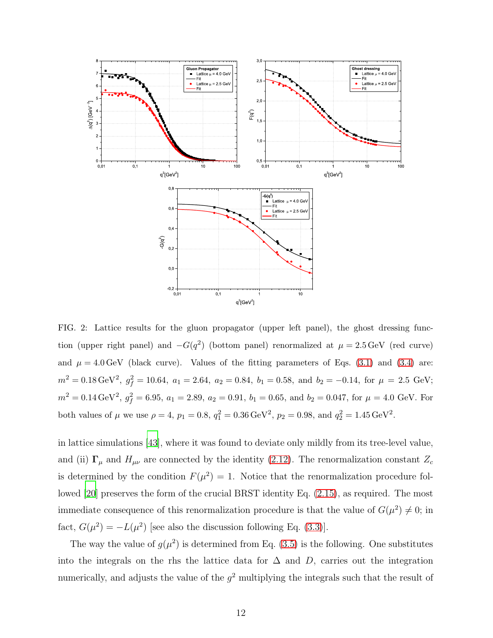

<span id="page-11-0"></span>FIG. 2: Lattice results for the gluon propagator (upper left panel), the ghost dressing function (upper right panel) and  $-G(q^2)$  (bottom panel) renormalized at  $\mu = 2.5 \,\text{GeV}$  (red curve) and  $\mu = 4.0 \,\text{GeV}$  (black curve). Values of the fitting parameters of Eqs. [\(3.1\)](#page-8-1) and [\(3.4\)](#page-10-1) are:  $m^2 = 0.18 \,\text{GeV}^2, \ g_f^2 = 10.64, \ a_1 = 2.64, \ a_2 = 0.84, \ b_1 = 0.58, \text{ and } \ b_2 = -0.14, \text{ for } \mu = 2.5 \text{ GeV};$  $m^2 = 0.14 \,\text{GeV}^2, g_f^2 = 6.95, a_1 = 2.89, a_2 = 0.91, b_1 = 0.65, \text{ and } b_2 = 0.047, \text{ for } \mu = 4.0 \text{ GeV}.$  For both values of  $\mu$  we use  $\rho = 4$ ,  $p_1 = 0.8$ ,  $q_1^2 = 0.36 \,\text{GeV}^2$ ,  $p_2 = 0.98$ , and  $q_2^2 = 1.45 \,\text{GeV}^2$ .

in lattice simulations [\[43\]](#page-21-14), where it was found to deviate only mildly from its tree-level value, and (ii)  $\Gamma_{\mu}$  and  $H_{\mu\nu}$  are connected by the identity [\(2.12\)](#page-6-4). The renormalization constant  $Z_c$ is determined by the condition  $F(\mu^2) = 1$ . Notice that the renormalization procedure followed [\[20\]](#page-21-1) preserves the form of the crucial BRST identity Eq. [\(2.15\)](#page-6-0), as required. The most immediate consequence of this renormalization procedure is that the value of  $G(\mu^2) \neq 0$ ; in fact,  $G(\mu^2) = -L(\mu^2)$  [see also the discussion following Eq. [\(3.3\)](#page-9-1)].

The way the value of  $g(\mu^2)$  is determined from Eq. [\(3.5\)](#page-10-0) is the following. One substitutes into the integrals on the rhs the lattice data for  $\Delta$  and D, carries out the integration numerically, and adjusts the value of the  $g^2$  multiplying the integrals such that the result of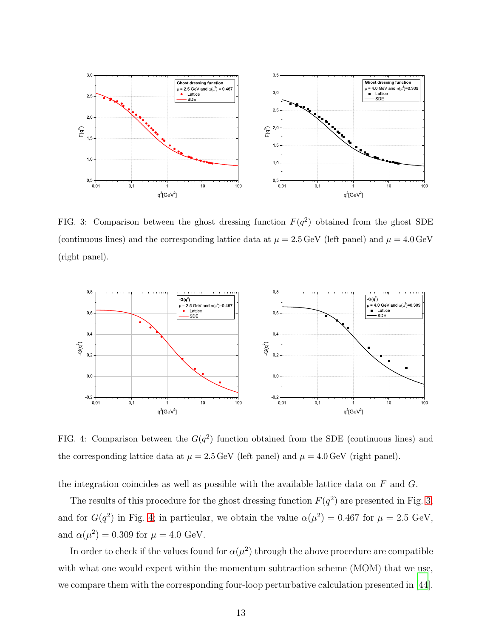

<span id="page-12-0"></span>FIG. 3: Comparison between the ghost dressing function  $F(q^2)$  obtained from the ghost SDE (continuous lines) and the corresponding lattice data at  $\mu = 2.5 \,\text{GeV}$  (left panel) and  $\mu = 4.0 \,\text{GeV}$ (right panel).



<span id="page-12-1"></span>FIG. 4: Comparison between the  $G(q^2)$  function obtained from the SDE (continuous lines) and the corresponding lattice data at  $\mu = 2.5 \,\text{GeV}$  (left panel) and  $\mu = 4.0 \,\text{GeV}$  (right panel).

the integration coincides as well as possible with the available lattice data on  $F$  and  $G$ .

The results of this procedure for the ghost dressing function  $F(q^2)$  are presented in Fig. [3,](#page-12-0) and for  $G(q^2)$  in Fig. [4;](#page-12-1) in particular, we obtain the value  $\alpha(\mu^2) = 0.467$  for  $\mu = 2.5$  GeV, and  $\alpha(\mu^2) = 0.309$  for  $\mu = 4.0$  GeV.

In order to check if the values found for  $\alpha(\mu^2)$  through the above procedure are compatible with what one would expect within the momentum subtraction scheme (MOM) that we use, we compare them with the corresponding four-loop perturbative calculation presented in [\[44\]](#page-22-0).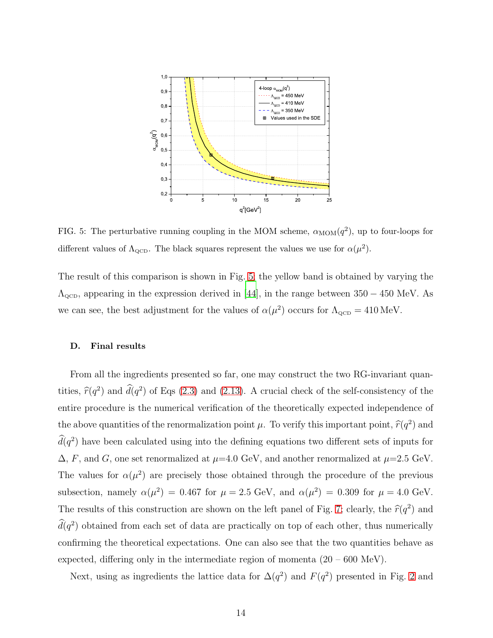

<span id="page-13-0"></span>FIG. 5: The perturbative running coupling in the MOM scheme,  $\alpha_{\text{MOM}}(q^2)$ , up to four-loops for different values of  $\Lambda_{\text{QCD}}$ . The black squares represent the values we use for  $\alpha(\mu^2)$ .

The result of this comparison is shown in Fig. [5;](#page-13-0) the yellow band is obtained by varying the  $\Lambda_{\text{QCD}}$ , appearing in the expression derived in [\[44](#page-22-0)], in the range between 350 – 450 MeV. As we can see, the best adjustment for the values of  $\alpha(\mu^2)$  occurs for  $\Lambda_{\text{QCD}} = 410 \,\text{MeV}$ .

#### D. Final results

From all the ingredients presented so far, one may construct the two RG-invariant quantities,  $\hat{r}(q^2)$  and  $\hat{d}(q^2)$  of Eqs [\(2.3\)](#page-4-0) and [\(2.13\)](#page-6-1). A crucial check of the self-consistency of the entire procedure is the numerical verification of the theoretically expected independence of the above quantities of the renormalization point  $\mu$ . To verify this important point,  $\hat{r}(q^2)$  and  $d(q^2)$  have been calculated using into the defining equations two different sets of inputs for  $\Delta$ , F, and G, one set renormalized at  $\mu$ =4.0 GeV, and another renormalized at  $\mu$ =2.5 GeV. The values for  $\alpha(\mu^2)$  are precisely those obtained through the procedure of the previous subsection, namely  $\alpha(\mu^2) = 0.467$  for  $\mu = 2.5$  GeV, and  $\alpha(\mu^2) = 0.309$  for  $\mu = 4.0$  GeV. The results of this construction are shown on the left panel of Fig. [7;](#page-15-0) clearly, the  $\hat{r}(q^2)$  and  $d(q^2)$  obtained from each set of data are practically on top of each other, thus numerically confirming the theoretical expectations. One can also see that the two quantities behave as expected, differing only in the intermediate region of momenta  $(20 - 600 \text{ MeV})$ .

Next, using as ingredients the lattice data for  $\Delta(q^2)$  and  $F(q^2)$  presented in Fig. [2](#page-11-0) and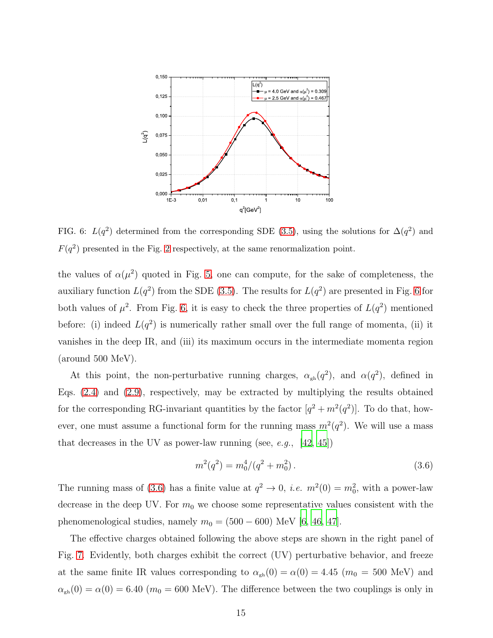

<span id="page-14-1"></span>FIG. 6:  $L(q^2)$  determined from the corresponding SDE [\(3.5\)](#page-10-0), using the solutions for  $\Delta(q^2)$  and  $F(q^2)$  presented in the Fig. [2](#page-11-0) respectively, at the same renormalization point.

the values of  $\alpha(\mu^2)$  quoted in Fig. [5,](#page-13-0) one can compute, for the sake of completeness, the auxiliary function  $L(q^2)$  from the SDE [\(3.5\)](#page-10-0). The results for  $L(q^2)$  are presented in Fig. [6](#page-14-1) for both values of  $\mu^2$ . From Fig. [6,](#page-14-1) it is easy to check the three properties of  $L(q^2)$  mentioned before: (i) indeed  $L(q^2)$  is numerically rather small over the full range of momenta, (ii) it vanishes in the deep IR, and (iii) its maximum occurs in the intermediate momenta region (around 500 MeV).

At this point, the non-perturbative running charges,  $\alpha_{gh}(q^2)$ , and  $\alpha(q^2)$ , defined in Eqs. [\(2.4\)](#page-4-1) and [\(2.9\)](#page-5-3), respectively, may be extracted by multiplying the results obtained for the corresponding RG-invariant quantities by the factor  $[q^2 + m^2(q^2)]$ . To do that, however, one must assume a functional form for the running mass  $m^2(q^2)$ . We will use a mass that decreases in the UV as power-law running (see, e.g.,  $[42, 45]$  $[42, 45]$  $[42, 45]$ )

<span id="page-14-0"></span>
$$
m^2(q^2) = m_0^4/(q^2 + m_0^2). \tag{3.6}
$$

The running mass of [\(3.6\)](#page-14-0) has a finite value at  $q^2 \to 0$ , *i.e.*  $m^2(0) = m_0^2$ , with a power-law decrease in the deep UV. For  $m_0$  we choose some representative values consistent with the phenomenological studies, namely  $m_0 = (500 - 600)$  MeV [\[6,](#page-20-2) [46](#page-22-2), [47](#page-22-3)].

The effective charges obtained following the above steps are shown in the right panel of Fig. [7.](#page-15-0) Evidently, both charges exhibit the correct (UV) perturbative behavior, and freeze at the same finite IR values corresponding to  $\alpha_{gh}(0) = \alpha(0) = 4.45$  ( $m_0 = 500$  MeV) and  $\alpha_{\rm gh}(0) = \alpha(0) = 6.40$  ( $m_0 = 600$  MeV). The difference between the two couplings is only in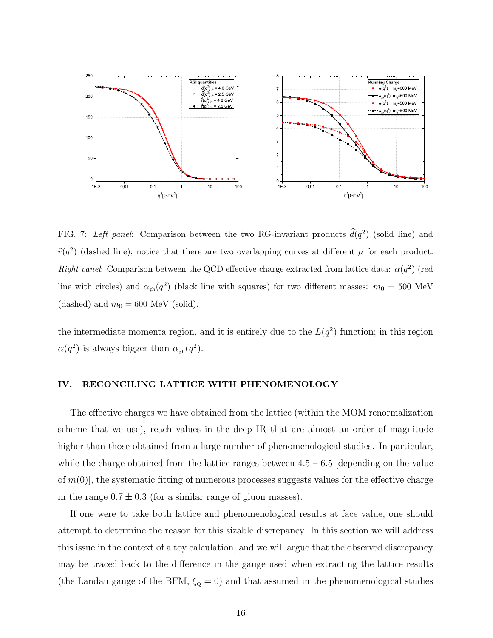

<span id="page-15-0"></span>FIG. 7: Left panel: Comparison between the two RG-invariant products  $\hat{d}(q^2)$  (solid line) and  $\hat{r}(q^2)$  (dashed line); notice that there are two overlapping curves at different  $\mu$  for each product. Right panel: Comparison between the QCD effective charge extracted from lattice data:  $\alpha(q^2)$  (red line with circles) and  $\alpha_{gh}(q^2)$  (black line with squares) for two different masses:  $m_0 = 500$  MeV (dashed) and  $m_0 = 600$  MeV (solid).

the intermediate momenta region, and it is entirely due to the  $L(q^2)$  function; in this region  $\alpha(q^2)$  is always bigger than  $\alpha_{gh}(q^2)$ .

### IV. RECONCILING LATTICE WITH PHENOMENOLOGY

The effective charges we have obtained from the lattice (within the MOM renormalization scheme that we use), reach values in the deep IR that are almost an order of magnitude higher than those obtained from a large number of phenomenological studies. In particular, while the charge obtained from the lattice ranges between  $4.5 - 6.5$  [depending on the value of  $m(0)$ , the systematic fitting of numerous processes suggests values for the effective charge in the range  $0.7 \pm 0.3$  (for a similar range of gluon masses).

If one were to take both lattice and phenomenological results at face value, one should attempt to determine the reason for this sizable discrepancy. In this section we will address this issue in the context of a toy calculation, and we will argue that the observed discrepancy may be traced back to the difference in the gauge used when extracting the lattice results (the Landau gauge of the BFM,  $\xi_{\text{Q}} = 0$ ) and that assumed in the phenomenological studies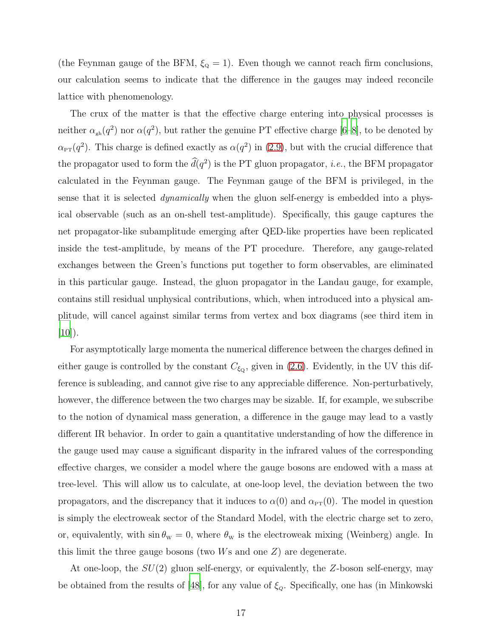(the Feynman gauge of the BFM,  $\xi_{\text{Q}} = 1$ ). Even though we cannot reach firm conclusions, our calculation seems to indicate that the difference in the gauges may indeed reconcile lattice with phenomenology.

The crux of the matter is that the effective charge entering into physical processes is neither  $\alpha_{gh}(q^2)$  nor  $\alpha(q^2)$ , but rather the genuine PT effective charge [\[6](#page-20-2)[–8\]](#page-20-3), to be denoted by  $\alpha_{\text{PT}}(q^2)$ . This charge is defined exactly as  $\alpha(q^2)$  in [\(2.9\)](#page-5-3), but with the crucial difference that the propagator used to form the  $d(q^2)$  is the PT gluon propagator, *i.e.*, the BFM propagator calculated in the Feynman gauge. The Feynman gauge of the BFM is privileged, in the sense that it is selected *dynamically* when the gluon self-energy is embedded into a physical observable (such as an on-shell test-amplitude). Specifically, this gauge captures the net propagator-like subamplitude emerging after QED-like properties have been replicated inside the test-amplitude, by means of the PT procedure. Therefore, any gauge-related exchanges between the Green's functions put together to form observables, are eliminated in this particular gauge. Instead, the gluon propagator in the Landau gauge, for example, contains still residual unphysical contributions, which, when introduced into a physical amplitude, will cancel against similar terms from vertex and box diagrams (see third item in  $[10]$ ).

For asymptotically large momenta the numerical difference between the charges defined in either gauge is controlled by the constant  $C_{\xi_{\mathbf{Q}}}$ , given in [\(2.6\)](#page-5-4). Evidently, in the UV this difference is subleading, and cannot give rise to any appreciable difference. Non-perturbatively, however, the difference between the two charges may be sizable. If, for example, we subscribe to the notion of dynamical mass generation, a difference in the gauge may lead to a vastly different IR behavior. In order to gain a quantitative understanding of how the difference in the gauge used may cause a significant disparity in the infrared values of the corresponding effective charges, we consider a model where the gauge bosons are endowed with a mass at tree-level. This will allow us to calculate, at one-loop level, the deviation between the two propagators, and the discrepancy that it induces to  $\alpha(0)$  and  $\alpha_{PT}(0)$ . The model in question is simply the electroweak sector of the Standard Model, with the electric charge set to zero, or, equivalently, with  $\sin \theta_w = 0$ , where  $\theta_w$  is the electroweak mixing (Weinberg) angle. In this limit the three gauge bosons (two Ws and one Z) are degenerate.

At one-loop, the  $SU(2)$  gluon self-energy, or equivalently, the Z-boson self-energy, may be obtained from the results of [\[48](#page-22-4)], for any value of  $\xi_{Q}$ . Specifically, one has (in Minkowski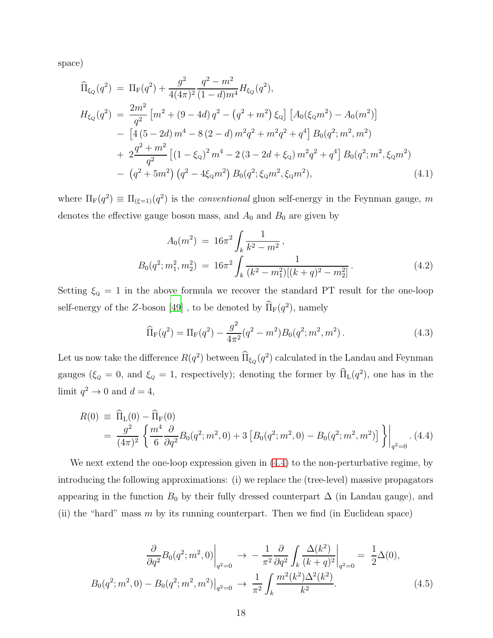space)

$$
\begin{split}\n\widehat{\Pi}_{\xi_Q}(q^2) &= \Pi_{\text{F}}(q^2) + \frac{g^2}{4(4\pi)^2} \frac{q^2 - m^2}{(1 - d)m^4} H_{\xi_Q}(q^2), \\
H_{\xi_Q}(q^2) &= \frac{2m^2}{q^2} \left[ m^2 + (9 - 4d) \, q^2 - \left( q^2 + m^2 \right) \xi_Q \right] \left[ A_0(\xi_Q m^2) - A_0(m^2) \right] \\
&- \left[ 4 \left( 5 - 2d \right) m^4 - 8 \left( 2 - d \right) m^2 q^2 + m^2 q^2 + q^4 \right] B_0(q^2; m^2, m^2) \\
&+ 2 \frac{q^2 + m^2}{q^2} \left[ \left( 1 - \xi_Q \right)^2 m^4 - 2 \left( 3 - 2d + \xi_Q \right) m^2 q^2 + q^4 \right] B_0(q^2; m^2, \xi_Q m^2) \\
&- \left( q^2 + 5m^2 \right) \left( q^2 - 4\xi_Q m^2 \right) B_0(q^2; \xi_Q m^2, \xi_Q m^2),\n\end{split} \tag{4.1}
$$

where  $\Pi_F(q^2) \equiv \Pi_{(\xi=1)}(q^2)$  is the *conventional* gluon self-energy in the Feynman gauge, m denotes the effective gauge boson mass, and  $A_0$  and  $B_0$  are given by

$$
A_0(m^2) = 16\pi^2 \int_k \frac{1}{k^2 - m^2},
$$
  
\n
$$
B_0(q^2; m_1^2, m_2^2) = 16\pi^2 \int_k \frac{1}{(k^2 - m_1^2)[(k+q)^2 - m_2^2]}.
$$
\n(4.2)

Setting  $\xi_{\text{Q}} = 1$  in the above formula we recover the standard PT result for the one-loop self-energy of the Z-boson [\[49\]](#page-22-5), to be denoted by  $\overline{\Pi}_{\text{F}}(q^2)$ , namely

$$
\widehat{\Pi}_{F}(q^{2}) = \Pi_{F}(q^{2}) - \frac{g^{2}}{4\pi^{2}}(q^{2} - m^{2})B_{0}(q^{2}; m^{2}, m^{2}).
$$
\n(4.3)

Let us now take the difference  $R(q^2)$  between  $\hat{\Pi}_{\xi_Q}(q^2)$  calculated in the Landau and Feynman gauges ( $\xi_Q = 0$ , and  $\xi_Q = 1$ , respectively); denoting the former by  $\hat{\Pi}_{\text{L}}(q^2)$ , one has in the limit  $q^2 \to 0$  and  $d = 4$ ,

<span id="page-17-0"></span>
$$
R(0) \equiv \widehat{\Pi}_{\text{L}}(0) - \widehat{\Pi}_{\text{F}}(0)
$$
  
=  $\frac{g^2}{(4\pi)^2} \left\{ \frac{m^4}{6} \frac{\partial}{\partial q^2} B_0(q^2; m^2, 0) + 3 \left[ B_0(q^2; m^2, 0) - B_0(q^2; m^2, m^2) \right] \right\}\Big|_{q^2=0}$ . (4.4)

We next extend the one-loop expression given in  $(4.4)$  to the non-perturbative regime, by introducing the following approximations: (i) we replace the (tree-level) massive propagators appearing in the function  $B_0$  by their fully dressed counterpart  $\Delta$  (in Landau gauge), and (ii) the "hard" mass  $m$  by its running counterpart. Then we find (in Euclidean space)

$$
\frac{\partial}{\partial q^2} B_0(q^2; m^2, 0) \Big|_{q^2=0} \to -\frac{1}{\pi^2} \frac{\partial}{\partial q^2} \int_k \frac{\Delta(k^2)}{(k+q)^2} \Big|_{q^2=0} = \frac{1}{2} \Delta(0),
$$
  

$$
B_0(q^2; m^2, 0) - B_0(q^2; m^2, m^2) \Big|_{q^2=0} \to \frac{1}{\pi^2} \int_k \frac{m^2(k^2) \Delta^2(k^2)}{k^2}.
$$
 (4.5)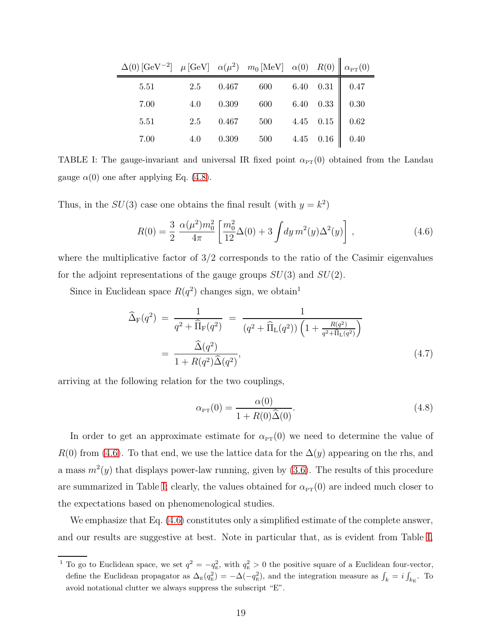| $\Delta(0) \left[\mathrm{GeV}^{-2}\right] - \mu \left[\mathrm{GeV}\right] - \alpha(\mu^2) - m_0 \left[\mathrm{MeV}\right] - \alpha(0) - R(0) \left[\left.\right] \alpha_{\mathrm{PT}}(0) \right]$ |     |           |                            |                  |  |
|---------------------------------------------------------------------------------------------------------------------------------------------------------------------------------------------------|-----|-----------|----------------------------|------------------|--|
| 5.51                                                                                                                                                                                              | 2.5 |           | $0.467$ 600 6.40 0.31 0.47 |                  |  |
| 7.00                                                                                                                                                                                              | 4.0 | 0.309     | 600 6.40 0.33 $\Big $ 0.30 |                  |  |
| 5.51                                                                                                                                                                                              | 2.5 |           | 0.467 500 4.45 0.15 0.62   |                  |  |
| 7.00                                                                                                                                                                                              | 4.0 | $0.309\,$ | 500                        | 4.45 $0.16$ 0.40 |  |

<span id="page-18-2"></span>TABLE I: The gauge-invariant and universal IR fixed point  $\alpha_{PT}(0)$  obtained from the Landau gauge  $\alpha(0)$  one after applying Eq. [\(4.8\)](#page-18-0).

Thus, in the  $SU(3)$  case one obtains the final result (with  $y = k^2$ )

<span id="page-18-1"></span>
$$
R(0) = \frac{3}{2} \frac{\alpha(\mu^2) m_0^2}{4\pi} \left[ \frac{m_0^2}{12} \Delta(0) + 3 \int dy \, m^2(y) \Delta^2(y) \right],\tag{4.6}
$$

where the multiplicative factor of  $3/2$  corresponds to the ratio of the Casimir eigenvalues for the adjoint representations of the gauge groups  $SU(3)$  and  $SU(2)$ .

Since in Euclidean space  $R(q^2)$  changes sign, we obtain<sup>1</sup>

$$
\widehat{\Delta}_{\rm F}(q^2) = \frac{1}{q^2 + \widehat{\Pi}_{\rm F}(q^2)} = \frac{1}{(q^2 + \widehat{\Pi}_{\rm L}(q^2)) \left(1 + \frac{R(q^2)}{q^2 + \widehat{\Pi}_{\rm L}(q^2)}\right)}
$$
\n
$$
= \frac{\widehat{\Delta}(q^2)}{1 + R(q^2) \widehat{\Delta}(q^2)},
$$
\n(4.7)

arriving at the following relation for the two couplings,

<span id="page-18-0"></span>
$$
\alpha_{\rm PT}(0) = \frac{\alpha(0)}{1 + R(0)\hat{\Delta}(0)}.\tag{4.8}
$$

In order to get an approximate estimate for  $\alpha_{\text{PT}}(0)$  we need to determine the value of  $R(0)$  from [\(4.6\)](#page-18-1). To that end, we use the lattice data for the  $\Delta(y)$  appearing on the rhs, and a mass  $m^2(y)$  that displays power-law running, given by  $(3.6)$ . The results of this procedure are summarized in Table [I;](#page-18-2) clearly, the values obtained for  $\alpha_{\text{PT}}(0)$  are indeed much closer to the expectations based on phenomenological studies.

We emphasize that Eq.  $(4.6)$  constitutes only a simplified estimate of the complete answer, and our results are suggestive at best. Note in particular that, as is evident from Table [I,](#page-18-2)

<sup>&</sup>lt;sup>1</sup> To go to Euclidean space, we set  $q^2 = -q_{\rm E}^2$ , with  $q_{\rm E}^2 > 0$  the positive square of a Euclidean four-vector, define the Euclidean propagator as  $\Delta_{\rm E}(q_{\rm E}^2) = -\Delta(-q_{\rm E}^2)$ , and the integration measure as  $\int_k = i \int_{k_{\rm E}}$ . To avoid notational clutter we always suppress the subscript "E".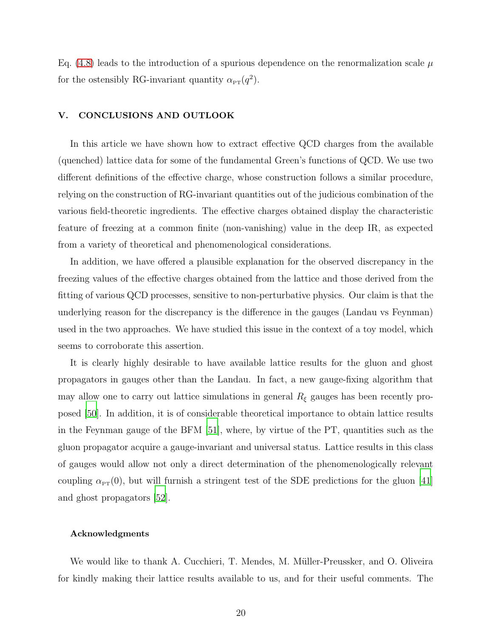Eq. [\(4.8\)](#page-18-0) leads to the introduction of a spurious dependence on the renormalization scale  $\mu$ for the ostensibly RG-invariant quantity  $\alpha_{\text{PT}}(q^2)$ .

## V. CONCLUSIONS AND OUTLOOK

In this article we have shown how to extract effective QCD charges from the available (quenched) lattice data for some of the fundamental Green's functions of QCD. We use two different definitions of the effective charge, whose construction follows a similar procedure, relying on the construction of RG-invariant quantities out of the judicious combination of the various field-theoretic ingredients. The effective charges obtained display the characteristic feature of freezing at a common finite (non-vanishing) value in the deep IR, as expected from a variety of theoretical and phenomenological considerations.

In addition, we have offered a plausible explanation for the observed discrepancy in the freezing values of the effective charges obtained from the lattice and those derived from the fitting of various QCD processes, sensitive to non-perturbative physics. Our claim is that the underlying reason for the discrepancy is the difference in the gauges (Landau vs Feynman) used in the two approaches. We have studied this issue in the context of a toy model, which seems to corroborate this assertion.

It is clearly highly desirable to have available lattice results for the gluon and ghost propagators in gauges other than the Landau. In fact, a new gauge-fixing algorithm that may allow one to carry out lattice simulations in general  $R_{\xi}$  gauges has been recently proposed [\[50\]](#page-22-6). In addition, it is of considerable theoretical importance to obtain lattice results in the Feynman gauge of the BFM [\[51](#page-22-7)], where, by virtue of the PT, quantities such as the gluon propagator acquire a gauge-invariant and universal status. Lattice results in this class of gauges would allow not only a direct determination of the phenomenologically relevant coupling  $\alpha_{\text{PT}}(0)$ , but will furnish a stringent test of the SDE predictions for the gluon [\[41\]](#page-21-12) and ghost propagators [\[52](#page-22-8)].

#### Acknowledgments

We would like to thank A. Cucchieri, T. Mendes, M. Müller-Preussker, and O. Oliveira for kindly making their lattice results available to us, and for their useful comments. The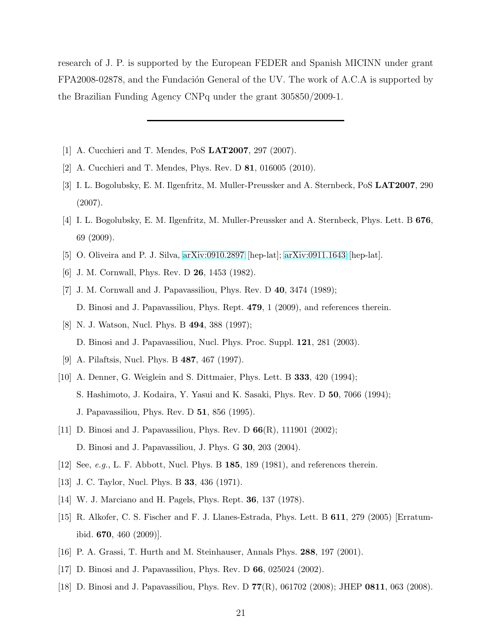research of J. P. is supported by the European FEDER and Spanish MICINN under grant FPA2008-02878, and the Fundación General of the UV. The work of A.C.A is supported by the Brazilian Funding Agency CNPq under the grant 305850/2009-1.

- <span id="page-20-0"></span>[1] A. Cucchieri and T. Mendes, PoS LAT2007, 297 (2007).
- <span id="page-20-15"></span>[2] A. Cucchieri and T. Mendes, Phys. Rev. D 81, 016005 (2010).
- [3] I. L. Bogolubsky, E. M. Ilgenfritz, M. Muller-Preussker and A. Sternbeck, PoS LAT2007, 290 (2007).
- [4] I. L. Bogolubsky, E. M. Ilgenfritz, M. Muller-Preussker and A. Sternbeck, Phys. Lett. B 676, 69 (2009).
- <span id="page-20-2"></span><span id="page-20-1"></span>[5] O. Oliveira and P. J. Silva, [arXiv:0910.2897](http://arxiv.org/abs/0910.2897) [hep-lat]; [arXiv:0911.1643](http://arxiv.org/abs/0911.1643) [hep-lat].
- <span id="page-20-14"></span>[6] J. M. Cornwall, Phys. Rev. D 26, 1453 (1982).
- [7] J. M. Cornwall and J. Papavassiliou, Phys. Rev. D 40, 3474 (1989); D. Binosi and J. Papavassiliou, Phys. Rept. 479, 1 (2009), and references therein.
- <span id="page-20-3"></span>[8] N. J. Watson, Nucl. Phys. B 494, 388 (1997); D. Binosi and J. Papavassiliou, Nucl. Phys. Proc. Suppl. 121, 281 (2003).
- <span id="page-20-4"></span>[9] A. Pilaftsis, Nucl. Phys. B 487, 467 (1997).
- <span id="page-20-5"></span>[10] A. Denner, G. Weiglein and S. Dittmaier, Phys. Lett. B 333, 420 (1994); S. Hashimoto, J. Kodaira, Y. Yasui and K. Sasaki, Phys. Rev. D 50, 7066 (1994); J. Papavassiliou, Phys. Rev. D 51, 856 (1995).
- <span id="page-20-6"></span>[11] D. Binosi and J. Papavassiliou, Phys. Rev. D 66(R), 111901 (2002); D. Binosi and J. Papavassiliou, J. Phys. G 30, 203 (2004).
- <span id="page-20-7"></span>[12] See, e.g., L. F. Abbott, Nucl. Phys. B 185, 189 (1981), and references therein.
- <span id="page-20-8"></span>[13] J. C. Taylor, Nucl. Phys. B **33**, 436 (1971).
- <span id="page-20-9"></span>[14] W. J. Marciano and H. Pagels, Phys. Rept. 36, 137 (1978).
- <span id="page-20-10"></span>[15] R. Alkofer, C. S. Fischer and F. J. Llanes-Estrada, Phys. Lett. B 611, 279 (2005) [Erratumibid. 670, 460 (2009)].
- <span id="page-20-11"></span>[16] P. A. Grassi, T. Hurth and M. Steinhauser, Annals Phys. 288, 197 (2001).
- <span id="page-20-12"></span>[17] D. Binosi and J. Papavassiliou, Phys. Rev. D 66, 025024 (2002).
- <span id="page-20-13"></span>[18] D. Binosi and J. Papavassiliou, Phys. Rev. D 77(R), 061702 (2008); JHEP 0811, 063 (2008).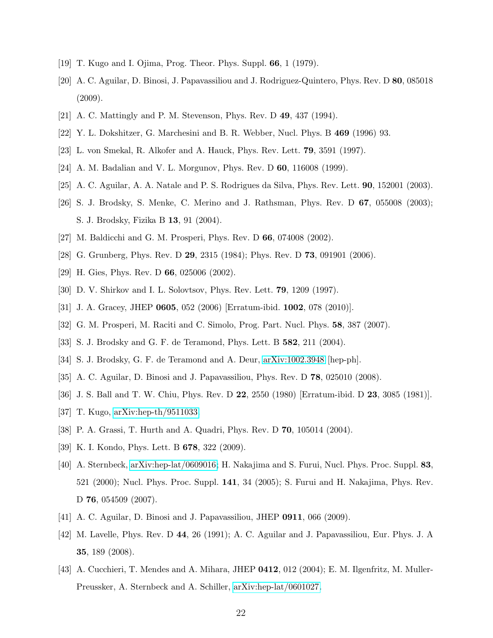- <span id="page-21-1"></span><span id="page-21-0"></span>[19] T. Kugo and I. Ojima, Prog. Theor. Phys. Suppl. 66, 1 (1979).
- [20] A. C. Aguilar, D. Binosi, J. Papavassiliou and J. Rodriguez-Quintero, Phys. Rev. D 80, 085018  $(2009).$
- <span id="page-21-2"></span>[21] A. C. Mattingly and P. M. Stevenson, Phys. Rev. D 49, 437 (1994).
- <span id="page-21-7"></span>[22] Y. L. Dokshitzer, G. Marchesini and B. R. Webber, Nucl. Phys. B 469 (1996) 93.
- [23] L. von Smekal, R. Alkofer and A. Hauck, Phys. Rev. Lett. 79, 3591 (1997).
- [24] A. M. Badalian and V. L. Morgunov, Phys. Rev. D 60, 116008 (1999).
- [25] A. C. Aguilar, A. A. Natale and P. S. Rodrigues da Silva, Phys. Rev. Lett. 90, 152001 (2003).
- [26] S. J. Brodsky, S. Menke, C. Merino and J. Rathsman, Phys. Rev. D 67, 055008 (2003); S. J. Brodsky, Fizika B 13, 91 (2004).
- [27] M. Baldicchi and G. M. Prosperi, Phys. Rev. D 66, 074008 (2002).
- [28] G. Grunberg, Phys. Rev. D 29, 2315 (1984); Phys. Rev. D 73, 091901 (2006).
- [29] H. Gies, Phys. Rev. D **66**, 025006 (2002).
- [30] D. V. Shirkov and I. L. Solovtsov, Phys. Rev. Lett. 79, 1209 (1997).
- <span id="page-21-3"></span>[31] J. A. Gracey, JHEP 0605, 052 (2006) [Erratum-ibid. 1002, 078 (2010)].
- <span id="page-21-4"></span>[32] G. M. Prosperi, M. Raciti and C. Simolo, Prog. Part. Nucl. Phys. 58, 387 (2007).
- [33] S. J. Brodsky and G. F. de Teramond, Phys. Lett. B 582, 211 (2004).
- <span id="page-21-5"></span>[34] S. J. Brodsky, G. F. de Teramond and A. Deur, [arXiv:1002.3948](http://arxiv.org/abs/1002.3948) [hep-ph].
- <span id="page-21-6"></span>[35] A. C. Aguilar, D. Binosi and J. Papavassiliou, Phys. Rev. D 78, 025010 (2008).
- <span id="page-21-9"></span><span id="page-21-8"></span>[36] J. S. Ball and T. W. Chiu, Phys. Rev. D 22, 2550 (1980) [Erratum-ibid. D 23, 3085 (1981)].
- [37] T. Kugo, [arXiv:hep-th/9511033.](http://arxiv.org/abs/hep-th/9511033)
- [38] P. A. Grassi, T. Hurth and A. Quadri, Phys. Rev. D 70, 105014 (2004).
- <span id="page-21-10"></span>[39] K. I. Kondo, Phys. Lett. B **678**, 322 (2009).
- <span id="page-21-11"></span>[40] A. Sternbeck, [arXiv:hep-lat/0609016;](http://arxiv.org/abs/hep-lat/0609016) H. Nakajima and S. Furui, Nucl. Phys. Proc. Suppl. 83, 521 (2000); Nucl. Phys. Proc. Suppl. 141, 34 (2005); S. Furui and H. Nakajima, Phys. Rev. D **76**, 054509 (2007).
- <span id="page-21-12"></span>[41] A. C. Aguilar, D. Binosi and J. Papavassiliou, JHEP 0911, 066 (2009).
- <span id="page-21-13"></span>[42] M. Lavelle, Phys. Rev. D 44, 26 (1991); A. C. Aguilar and J. Papavassiliou, Eur. Phys. J. A 35, 189 (2008).
- <span id="page-21-14"></span>[43] A. Cucchieri, T. Mendes and A. Mihara, JHEP 0412, 012 (2004); E. M. Ilgenfritz, M. Muller-Preussker, A. Sternbeck and A. Schiller, [arXiv:hep-lat/0601027.](http://arxiv.org/abs/hep-lat/0601027)